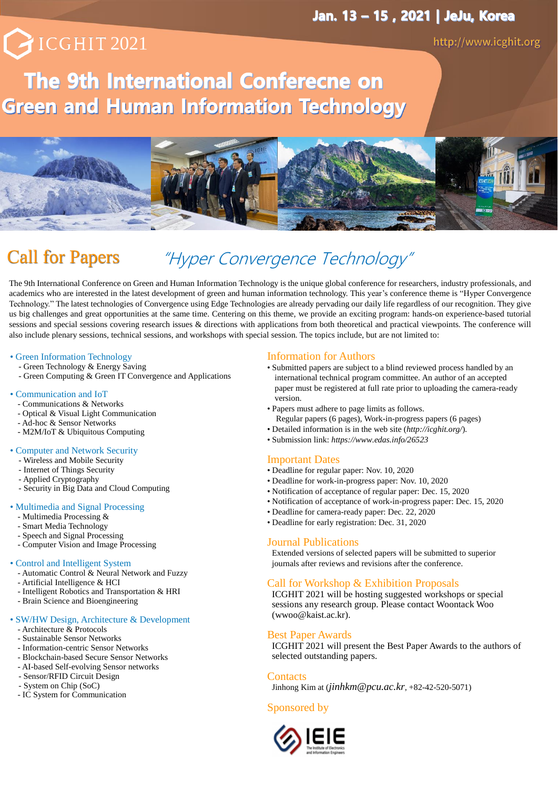# PICGHIT 2021

## The 9th International Conferecne on **Green and Human Information Technology**



## Call for Papers "Hyper Convergence Technology"

The 9th International Conference on Green and Human Information Technology is the unique global conference for researchers, industry professionals, and academics who are interested in the latest development of green and human information technology. This year's conference theme is "Hyper Convergence Technology." The latest technologies of Convergence using Edge Technologies are already pervading our daily life regardless of our recognition. They give us big challenges and great opportunities at the same time. Centering on this theme, we provide an exciting program: hands-on experience-based tutorial sessions and special sessions covering research issues & directions with applications from both theoretical and practical viewpoints. The conference will also include plenary sessions, technical sessions, and workshops with special session. The topics include, but are not limited to:

#### • Green Information Technology

- Green Technology & Energy Saving
- Green Computing & Green IT Convergence and Applications
- 
- Communication and IoT - Communications & Networks
	- Optical & Visual Light Communication
	- Ad-hoc & Sensor Networks
	- M2M/IoT & Ubiquitous Computing
- 
- Computer and Network Security
	- Wireless and Mobile Security - Internet of Things Security
	- Applied Cryptography
	- Security in Big Data and Cloud Computing

#### • Multimedia and Signal Processing

- Multimedia Processing &
- Smart Media Technology
- Speech and Signal Processing
- Computer Vision and Image Processing

#### • Control and Intelligent System

- Automatic Control & Neural Network and Fuzzy
- Artificial Intelligence & HCI
- Intelligent Robotics and Transportation & HRI
- Brain Science and Bioengineering

#### • SW/HW Design, Architecture & Development

- Architecture & Protocols
- Sustainable Sensor Networks
- Information-centric Sensor Networks
- Blockchain-based Secure Sensor Networks
- AI-based Self-evolving Sensor networks
- Sensor/RFID Circuit Design
- System on Chip (SoC)
- IC System for Communication

#### Information for Authors

- Submitted papers are subject to a blind reviewed process handled by an international technical program committee. An author of an accepted paper must be registered at full rate prior to uploading the camera-ready version.
- Papers must adhere to page limits as follows.
- Regular papers (6 pages), Work-in-progress papers (6 pages)
- Detailed information is in the web site (*http://icghit.org/*).
- Submission link: *https://www.edas.info/26523*

#### Important Dates

- Deadline for regular paper: Nov. 10, 2020
- Deadline for work-in-progress paper: Nov. 10, 2020
- Notification of acceptance of regular paper: Dec. 15, 2020
- Notification of acceptance of work-in-progress paper: Dec. 15, 2020
- Deadline for camera-ready paper: Dec. 22, 2020
- Deadline for early registration: Dec. 31, 2020

#### Journal Publications

Extended versions of selected papers will be submitted to superior journals after reviews and revisions after the conference.

#### Call for Workshop & Exhibition Proposals

ICGHIT 2021 will be hosting suggested workshops or special sessions any research group. Please contact Woontack Woo (wwoo@kaist.ac.kr).

#### Best Paper Awards

ICGHIT 2021 will present the Best Paper Awards to the authors of selected outstanding papers.

#### **Contacts**

Jinhong Kim at (*jinhkm@pcu.ac.kr*, +82-42-520-5071)

#### Sponsored by